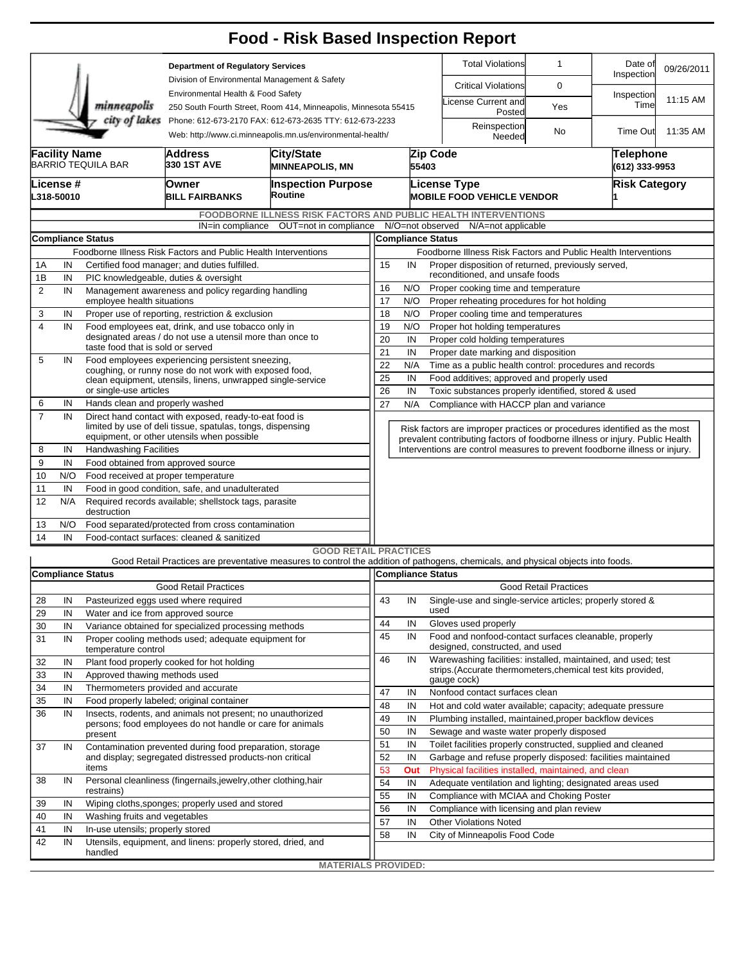|                |                         |                                     |                                                                                                                         | <b>Food - Risk Based Inspection Report</b>                                                                                                               |                                                                                                   |                                                                      |                              |                                                                                                                               |                              |                             |            |  |  |  |  |
|----------------|-------------------------|-------------------------------------|-------------------------------------------------------------------------------------------------------------------------|----------------------------------------------------------------------------------------------------------------------------------------------------------|---------------------------------------------------------------------------------------------------|----------------------------------------------------------------------|------------------------------|-------------------------------------------------------------------------------------------------------------------------------|------------------------------|-----------------------------|------------|--|--|--|--|
|                |                         |                                     | <b>Department of Regulatory Services</b><br>Division of Environmental Management & Safety                               |                                                                                                                                                          |                                                                                                   |                                                                      |                              | <b>Total Violations</b>                                                                                                       | $\mathbf{1}$                 | Date of<br>Inspection       | 09/26/2011 |  |  |  |  |
|                |                         |                                     | Environmental Health & Food Safety                                                                                      |                                                                                                                                                          |                                                                                                   |                                                                      |                              | <b>Critical Violations</b>                                                                                                    | 0                            |                             |            |  |  |  |  |
|                |                         | minneapolis<br>city of lakes        | 250 South Fourth Street, Room 414, Minneapolis, Minnesota 55415                                                         |                                                                                                                                                          |                                                                                                   |                                                                      | icense Current and<br>Posted | Yes                                                                                                                           | Inspection<br>Time           | 11:15 AM                    |            |  |  |  |  |
|                |                         |                                     | Phone: 612-673-2170 FAX: 612-673-2635 TTY: 612-673-2233<br>Web: http://www.ci.minneapolis.mn.us/environmental-health/   |                                                                                                                                                          |                                                                                                   |                                                                      |                              | Reinspection<br>Needed                                                                                                        | No                           | Time Out                    | 11:35 AM   |  |  |  |  |
|                | <b>Facility Name</b>    | <b>BARRIO TEQUILA BAR</b>           | <b>Address</b><br>330 1ST AVE                                                                                           | <b>City/State</b><br><b>MINNEAPOLIS, MN</b>                                                                                                              |                                                                                                   | 55403                                                                | Zip Code                     |                                                                                                                               |                              | Telephone<br>(612) 333-9953 |            |  |  |  |  |
|                | License #<br>L318-50010 |                                     | Owner<br><b>BILL FAIRBANKS</b>                                                                                          | <b>Inspection Purpose</b><br><b>License Type</b><br><b>MOBILE FOOD VEHICLE VENDOR</b>                                                                    |                                                                                                   |                                                                      |                              |                                                                                                                               |                              | <b>Risk Category</b>        |            |  |  |  |  |
|                |                         |                                     |                                                                                                                         | <b>FOODBORNE ILLNESS RISK FACTORS AND PUBLIC HEALTH INTERVENTIONS</b>                                                                                    |                                                                                                   |                                                                      |                              |                                                                                                                               |                              |                             |            |  |  |  |  |
|                |                         |                                     |                                                                                                                         | IN=in compliance OUT=not in compliance                                                                                                                   |                                                                                                   |                                                                      |                              | N/O=not observed N/A=not applicable                                                                                           |                              |                             |            |  |  |  |  |
|                |                         | <b>Compliance Status</b>            |                                                                                                                         |                                                                                                                                                          | <b>Compliance Status</b>                                                                          |                                                                      |                              |                                                                                                                               |                              |                             |            |  |  |  |  |
|                |                         |                                     | Foodborne Illness Risk Factors and Public Health Interventions                                                          |                                                                                                                                                          | Foodborne Illness Risk Factors and Public Health Interventions                                    |                                                                      |                              |                                                                                                                               |                              |                             |            |  |  |  |  |
| 1A             | IN                      |                                     | Certified food manager; and duties fulfilled.                                                                           |                                                                                                                                                          | 15<br>Proper disposition of returned, previously served,<br>IN<br>reconditioned, and unsafe foods |                                                                      |                              |                                                                                                                               |                              |                             |            |  |  |  |  |
| 1Β             | IN                      |                                     | PIC knowledgeable, duties & oversight                                                                                   |                                                                                                                                                          | 16<br>N/O<br>Proper cooking time and temperature                                                  |                                                                      |                              |                                                                                                                               |                              |                             |            |  |  |  |  |
| 2              | IN                      | employee health situations          | Management awareness and policy regarding handling                                                                      | 17<br>N/O<br>Proper reheating procedures for hot holding                                                                                                 |                                                                                                   |                                                                      |                              |                                                                                                                               |                              |                             |            |  |  |  |  |
| 3              | IN                      |                                     | Proper use of reporting, restriction & exclusion                                                                        |                                                                                                                                                          | 18<br>N/O<br>Proper cooling time and temperatures                                                 |                                                                      |                              |                                                                                                                               |                              |                             |            |  |  |  |  |
| $\overline{4}$ | IN                      |                                     | Food employees eat, drink, and use tobacco only in                                                                      | 19<br>N/O<br>Proper hot holding temperatures                                                                                                             |                                                                                                   |                                                                      |                              |                                                                                                                               |                              |                             |            |  |  |  |  |
|                |                         |                                     | designated areas / do not use a utensil more than once to                                                               | 20<br>IN<br>Proper cold holding temperatures                                                                                                             |                                                                                                   |                                                                      |                              |                                                                                                                               |                              |                             |            |  |  |  |  |
| 5              | IN                      | taste food that is sold or served   |                                                                                                                         | 21<br>Proper date marking and disposition<br>IN                                                                                                          |                                                                                                   |                                                                      |                              |                                                                                                                               |                              |                             |            |  |  |  |  |
|                |                         |                                     | Food employees experiencing persistent sneezing,<br>coughing, or runny nose do not work with exposed food,              |                                                                                                                                                          |                                                                                                   | 22<br>N/A<br>Time as a public health control: procedures and records |                              |                                                                                                                               |                              |                             |            |  |  |  |  |
|                |                         |                                     | clean equipment, utensils, linens, unwrapped single-service                                                             |                                                                                                                                                          | 25                                                                                                | IN                                                                   |                              | Food additives; approved and properly used                                                                                    |                              |                             |            |  |  |  |  |
|                |                         | or single-use articles              |                                                                                                                         |                                                                                                                                                          | 26<br>Toxic substances properly identified, stored & used<br>IN                                   |                                                                      |                              |                                                                                                                               |                              |                             |            |  |  |  |  |
| 6              | IN                      | Hands clean and properly washed     |                                                                                                                         |                                                                                                                                                          | 27<br>N/A<br>Compliance with HACCP plan and variance                                              |                                                                      |                              |                                                                                                                               |                              |                             |            |  |  |  |  |
| $\overline{7}$ | IN                      |                                     | Direct hand contact with exposed, ready-to-eat food is<br>limited by use of deli tissue, spatulas, tongs, dispensing    |                                                                                                                                                          |                                                                                                   |                                                                      |                              |                                                                                                                               |                              |                             |            |  |  |  |  |
|                |                         |                                     | equipment, or other utensils when possible                                                                              | Risk factors are improper practices or procedures identified as the most<br>prevalent contributing factors of foodborne illness or injury. Public Health |                                                                                                   |                                                                      |                              |                                                                                                                               |                              |                             |            |  |  |  |  |
| 8              | IN                      | <b>Handwashing Facilities</b>       |                                                                                                                         |                                                                                                                                                          |                                                                                                   |                                                                      |                              | Interventions are control measures to prevent foodborne illness or injury.                                                    |                              |                             |            |  |  |  |  |
| 9              | IN                      | Food obtained from approved source  |                                                                                                                         |                                                                                                                                                          |                                                                                                   |                                                                      |                              |                                                                                                                               |                              |                             |            |  |  |  |  |
| 10             | N/O                     | Food received at proper temperature |                                                                                                                         |                                                                                                                                                          |                                                                                                   |                                                                      |                              |                                                                                                                               |                              |                             |            |  |  |  |  |
| 11             | IN                      |                                     | Food in good condition, safe, and unadulterated                                                                         |                                                                                                                                                          |                                                                                                   |                                                                      |                              |                                                                                                                               |                              |                             |            |  |  |  |  |
| 12             | N/A                     | destruction                         | Required records available; shellstock tags, parasite                                                                   |                                                                                                                                                          |                                                                                                   |                                                                      |                              |                                                                                                                               |                              |                             |            |  |  |  |  |
| 13             | N/O                     |                                     | Food separated/protected from cross contamination                                                                       |                                                                                                                                                          |                                                                                                   |                                                                      |                              |                                                                                                                               |                              |                             |            |  |  |  |  |
| 14             | IN                      |                                     | Food-contact surfaces: cleaned & sanitized                                                                              |                                                                                                                                                          |                                                                                                   |                                                                      |                              |                                                                                                                               |                              |                             |            |  |  |  |  |
|                |                         |                                     |                                                                                                                         | <b>GOOD RETAIL PRACTICES</b>                                                                                                                             |                                                                                                   |                                                                      |                              |                                                                                                                               |                              |                             |            |  |  |  |  |
|                |                         | <b>Compliance Status</b>            |                                                                                                                         | Good Retail Practices are preventative measures to control the addition of pathogens, chemicals, and physical objects into foods.                        |                                                                                                   | Compliance Status                                                    |                              |                                                                                                                               |                              |                             |            |  |  |  |  |
|                |                         |                                     | <b>Good Retail Practices</b>                                                                                            |                                                                                                                                                          |                                                                                                   |                                                                      |                              |                                                                                                                               | <b>Good Retail Practices</b> |                             |            |  |  |  |  |
| 28             | IN                      |                                     | Pasteurized eggs used where required                                                                                    |                                                                                                                                                          | 43                                                                                                | IN                                                                   |                              | Single-use and single-service articles; properly stored &                                                                     |                              |                             |            |  |  |  |  |
| 29             | IN                      | Water and ice from approved source  |                                                                                                                         |                                                                                                                                                          |                                                                                                   |                                                                      | used                         |                                                                                                                               |                              |                             |            |  |  |  |  |
| 30             | IN                      |                                     | Variance obtained for specialized processing methods                                                                    |                                                                                                                                                          | 44                                                                                                | IN                                                                   |                              | Gloves used properly                                                                                                          |                              |                             |            |  |  |  |  |
| 31             | IN                      |                                     | Proper cooling methods used; adequate equipment for                                                                     |                                                                                                                                                          | 45                                                                                                | IN                                                                   |                              | Food and nonfood-contact surfaces cleanable, properly                                                                         |                              |                             |            |  |  |  |  |
|                |                         | temperature control                 |                                                                                                                         |                                                                                                                                                          |                                                                                                   |                                                                      |                              | designed, constructed, and used                                                                                               |                              |                             |            |  |  |  |  |
| 32             | IN                      |                                     | Plant food properly cooked for hot holding                                                                              |                                                                                                                                                          | 46                                                                                                | IN                                                                   |                              | Warewashing facilities: installed, maintained, and used; test<br>strips. (Accurate thermometers, chemical test kits provided, |                              |                             |            |  |  |  |  |
| 33             | IN                      | Approved thawing methods used       |                                                                                                                         |                                                                                                                                                          |                                                                                                   |                                                                      |                              | gauge cock)                                                                                                                   |                              |                             |            |  |  |  |  |
| 34             | IN                      | Thermometers provided and accurate  |                                                                                                                         |                                                                                                                                                          | 47                                                                                                | IN                                                                   |                              | Nonfood contact surfaces clean                                                                                                |                              |                             |            |  |  |  |  |
| 35             | IN                      |                                     | Food properly labeled; original container                                                                               |                                                                                                                                                          | 48                                                                                                | IN                                                                   |                              | Hot and cold water available; capacity; adequate pressure                                                                     |                              |                             |            |  |  |  |  |
| 36             | IN                      |                                     | Insects, rodents, and animals not present; no unauthorized<br>persons; food employees do not handle or care for animals |                                                                                                                                                          | 49                                                                                                | IN                                                                   |                              | Plumbing installed, maintained, proper backflow devices                                                                       |                              |                             |            |  |  |  |  |
|                |                         | present                             |                                                                                                                         |                                                                                                                                                          | 50                                                                                                | IN                                                                   |                              | Sewage and waste water properly disposed                                                                                      |                              |                             |            |  |  |  |  |
| 37             | IN                      |                                     | Contamination prevented during food preparation, storage<br>and display; segregated distressed products-non critical    |                                                                                                                                                          | 51                                                                                                | IN                                                                   |                              | Toilet facilities properly constructed, supplied and cleaned                                                                  |                              |                             |            |  |  |  |  |
|                |                         |                                     |                                                                                                                         |                                                                                                                                                          | 52                                                                                                | IN                                                                   |                              | Garbage and refuse properly disposed: facilities maintained                                                                   |                              |                             |            |  |  |  |  |
| 38             | IN                      | items                               | Personal cleanliness (fingernails,jewelry,other clothing,hair                                                           |                                                                                                                                                          | 53                                                                                                | Out                                                                  |                              | Physical facilities installed, maintained, and clean                                                                          |                              |                             |            |  |  |  |  |
|                |                         | restrains)                          |                                                                                                                         |                                                                                                                                                          | 54                                                                                                | IN                                                                   |                              | Adequate ventilation and lighting; designated areas used                                                                      |                              |                             |            |  |  |  |  |
| 39             | IN                      |                                     | Wiping cloths, sponges; properly used and stored                                                                        |                                                                                                                                                          | 55                                                                                                | IN                                                                   |                              | Compliance with MCIAA and Choking Poster                                                                                      |                              |                             |            |  |  |  |  |
| 40             | IN                      | Washing fruits and vegetables       |                                                                                                                         |                                                                                                                                                          | 56                                                                                                | IN                                                                   |                              | Compliance with licensing and plan review                                                                                     |                              |                             |            |  |  |  |  |
| 41             | IN                      | In-use utensils; properly stored    |                                                                                                                         |                                                                                                                                                          | 57<br>58                                                                                          | IN                                                                   |                              | <b>Other Violations Noted</b>                                                                                                 |                              |                             |            |  |  |  |  |
| 42             | IN                      |                                     | Utensils, equipment, and linens: properly stored, dried, and                                                            |                                                                                                                                                          |                                                                                                   | IN                                                                   |                              | City of Minneapolis Food Code                                                                                                 |                              |                             |            |  |  |  |  |
|                |                         | handled                             |                                                                                                                         |                                                                                                                                                          |                                                                                                   |                                                                      |                              |                                                                                                                               |                              |                             |            |  |  |  |  |
|                |                         |                                     |                                                                                                                         | <b>MATERIALS PROVIDED:</b>                                                                                                                               |                                                                                                   |                                                                      |                              |                                                                                                                               |                              |                             |            |  |  |  |  |